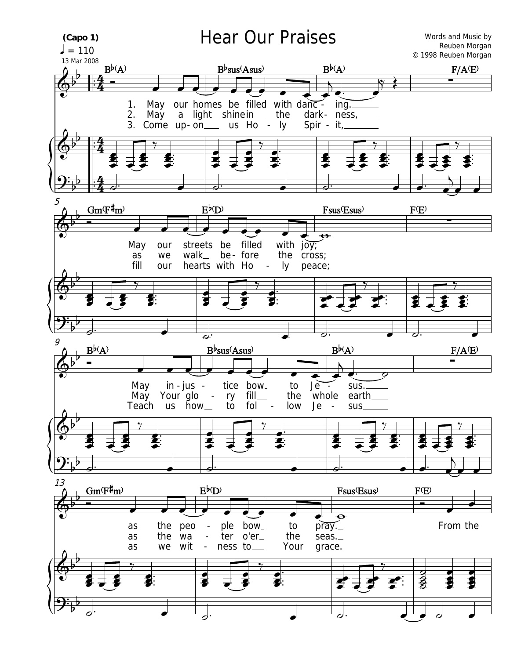